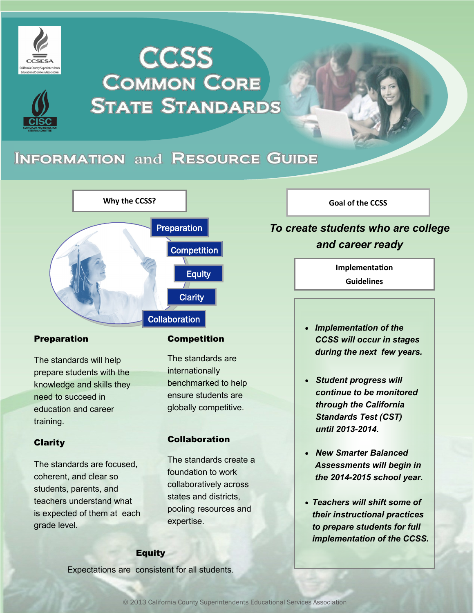

# **CCSS COMMON CORE STATE STANDARDS**

## **INFORMATION and RESOURCE GUIDE**



### Preparation

The standards will help prepare students with the knowledge and skills they need to succeed in education and career training.

### Clarity

The standards are focused, coherent, and clear so students, parents, and teachers understand what is expected of them at each grade level.

### **Competition**

The standards are internationally benchmarked to help ensure students are globally competitive.

### Collaboration

The standards create a foundation to work collaboratively across states and districts, pooling resources and expertise.

### Equity

Expectations are consistent for all students.

**Goal of the CCSS**

### *To create students who are college and career ready*

**Implementation Guidelines**

- *Implementation of the CCSS will occur in stages during the next few years.*
- *Student progress will continue to be monitored through the California Standards Test (CST) until 2013-2014.*
- *New Smarter Balanced Assessments will begin in the 2014-2015 school year.*
- *Teachers will shift some of their instructional practices to prepare students for full implementation of the CCSS.*